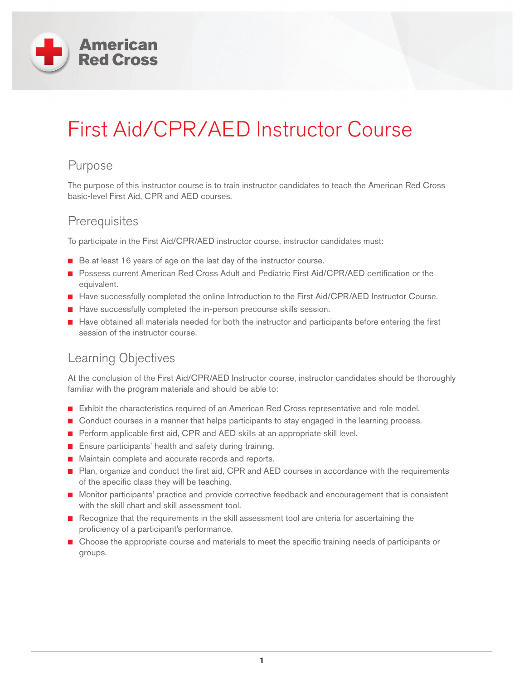

# First Aid/CPR/AED Instructor Course

#### Purpose

The purpose of this instructor course is to train instructor candidates to teach the American Red Cross basic-level First Aid, CPR and AED courses.

#### **Prerequisites**

To participate in the First Aid/CPR/AED instructor course, instructor candidates must:

- Be at least 16 years of age on the last day of the instructor course.
- Possess current American Red Cross Adult and Pediatric First Aid/CPR/AED certification or the equivalent.
- Have successfully completed the online Introduction to the First Aid/CPR/AED Instructor Course.
- Have successfully completed the in-person precourse skills session.
- Have obtained all materials needed for both the instructor and participants before entering the first session of the instructor course.

## Learning Objectives

At the conclusion of the First Aid/CPR/AED Instructor course, instructor candidates should be thoroughly familiar with the program materials and should be able to:

- Exhibit the characteristics required of an American Red Cross representative and role model.
- Conduct courses in a manner that helps participants to stay engaged in the learning process.
- Perform applicable first aid, CPR and AED skills at an appropriate skill level.
- Ensure participants' health and safety during training.
- Maintain complete and accurate records and reports.
- Plan, organize and conduct the first aid, CPR and AED courses in accordance with the requirements of the specific class they will be teaching.
- Monitor participants' practice and provide corrective feedback and encouragement that is consistent with the skill chart and skill assessment tool.
- Recognize that the requirements in the skill assessment tool are criteria for ascertaining the proficiency of a participant's performance.
- Choose the appropriate course and materials to meet the specific training needs of participants or groups.